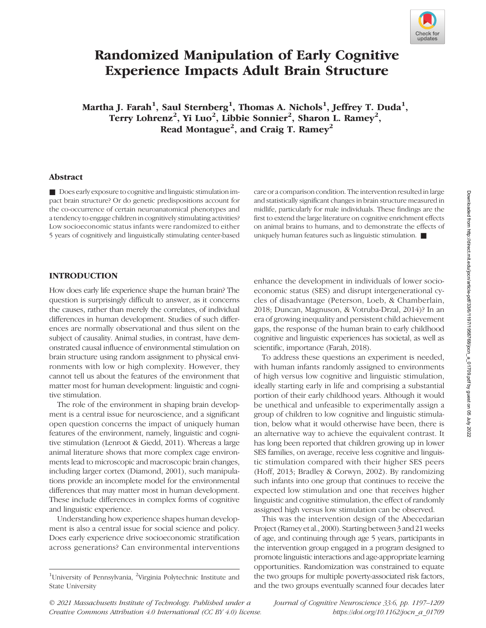

# Randomized Manipulation of Early Cognitive Experience Impacts Adult Brain Structure

Martha J. Farah $^1$ , Saul Sternberg $^1$ , Thomas A. Nichols $^1$ , Jeffrey T. Duda $^1,$ Terry Lohrenz<sup>2</sup>, Yi Luo<sup>2</sup>, Libbie Sonnier<sup>2</sup>, Sharon L. Ramey<sup>2</sup>, Read Montague<sup>2</sup>, and Craig T. Ramey<sup>2</sup>

#### Abstract

■ Does early exposure to cognitive and linguistic stimulation impact brain structure? Or do genetic predispositions account for the co-occurrence of certain neuroanatomical phenotypes and a tendency to engage children in cognitively stimulating activities? Low socioeconomic status infants were randomized to either 5 years of cognitively and linguistically stimulating center-based

care or a comparison condition. The intervention resulted in large and statistically significant changes in brain structure measured in midlife, particularly for male individuals. These findings are the first to extend the large literature on cognitive enrichment effects on animal brains to humans, and to demonstrate the effects of uniquely human features such as linguistic stimulation. ■

#### INTRODUCTION

How does early life experience shape the human brain? The question is surprisingly difficult to answer, as it concerns the causes, rather than merely the correlates, of individual differences in human development. Studies of such differences are normally observational and thus silent on the subject of causality. Animal studies, in contrast, have demonstrated causal influence of environmental stimulation on brain structure using random assignment to physical environments with low or high complexity. However, they cannot tell us about the features of the environment that matter most for human development: linguistic and cognitive stimulation.

The role of the environment in shaping brain development is a central issue for neuroscience, and a significant open question concerns the impact of uniquely human features of the environment, namely, linguistic and cognitive stimulation (Lenroot & Giedd, 2011). Whereas a large animal literature shows that more complex cage environments lead to microscopic and macroscopic brain changes, including larger cortex (Diamond, 2001), such manipulations provide an incomplete model for the environmental differences that may matter most in human development. These include differences in complex forms of cognitive and linguistic experience.

Understanding how experience shapes human development is also a central issue for social science and policy. Does early experience drive socioeconomic stratification across generations? Can environmental interventions

enhance the development in individuals of lower socioeconomic status (SES) and disrupt intergenerational cycles of disadvantage (Peterson, Loeb, & Chamberlain, 2018; Duncan, Magnuson, & Votruba-Drzal, 2014)? In an era of growing inequality and persistent child achievement gaps, the response of the human brain to early childhood cognitive and linguistic experiences has societal, as well as scientific, importance (Farah, 2018).

To address these questions an experiment is needed, with human infants randomly assigned to environments of high versus low cognitive and linguistic stimulation, ideally starting early in life and comprising a substantial portion of their early childhood years. Although it would be unethical and unfeasible to experimentally assign a group of children to low cognitive and linguistic stimulation, below what it would otherwise have been, there is an alternative way to achieve the equivalent contrast. It has long been reported that children growing up in lower SES families, on average, receive less cognitive and linguistic stimulation compared with their higher SES peers (Hoff, 2013; Bradley & Corwyn, 2002). By randomizing such infants into one group that continues to receive the expected low stimulation and one that receives higher linguistic and cognitive stimulation, the effect of randomly assigned high versus low stimulation can be observed.

This was the intervention design of the Abecedarian Project (Ramey et al., 2000). Starting between 3 and 21 weeks of age, and continuing through age 5 years, participants in the intervention group engaged in a program designed to promote linguistic interactions and age-appropriate learning opportunities. Randomization was constrained to equate the two groups for multiple poverty-associated risk factors, and the two groups eventually scanned four decades later

© 2021 Massachusetts Institute of Technology. Published under a Creative Commons Attribution 4.0 International (CC BY 4.0) license. Journal of Cognitive Neuroscience 33:6, pp. 1197–1209 https://doi.org/10.1162/jocn\_a\_01709

<sup>&</sup>lt;sup>1</sup>University of Pennsylvania, <sup>2</sup>Virginia Polytechnic Institute and State University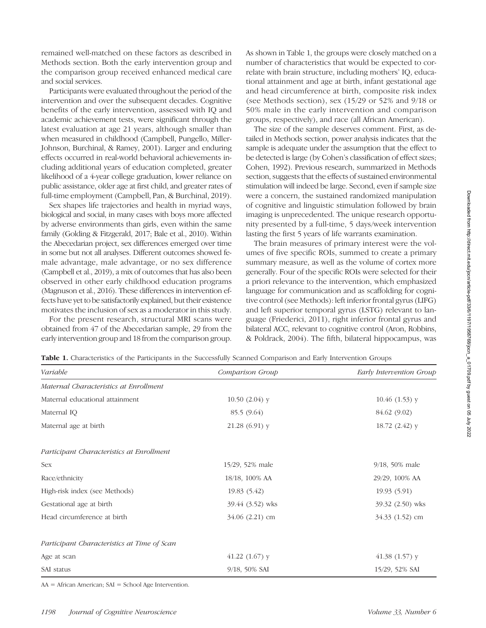remained well-matched on these factors as described in Methods section. Both the early intervention group and the comparison group received enhanced medical care and social services.

Participants were evaluated throughout the period of the intervention and over the subsequent decades. Cognitive benefits of the early intervention, assessed with IQ and academic achievement tests, were significant through the latest evaluation at age 21 years, although smaller than when measured in childhood (Campbell, Pungello, Miller-Johnson, Burchinal, & Ramey, 2001). Larger and enduring effects occurred in real-world behavioral achievements including additional years of education completed, greater likelihood of a 4-year college graduation, lower reliance on public assistance, older age at first child, and greater rates of full-time employment (Campbell, Pan, & Burchinal, 2019).

Sex shapes life trajectories and health in myriad ways, biological and social, in many cases with boys more affected by adverse environments than girls, even within the same family (Golding & Fitzgerald, 2017; Bale et al., 2010). Within the Abecedarian project, sex differences emerged over time in some but not all analyses. Different outcomes showed female advantage, male advantage, or no sex difference (Campbell et al., 2019), a mix of outcomes that has also been observed in other early childhood education programs (Magnuson et al., 2016). These differences in intervention effects have yet to be satisfactorily explained, but their existence motivates the inclusion of sex as a moderator in this study.

For the present research, structural MRI scans were obtained from 47 of the Abecedarian sample, 29 from the early intervention group and 18 from the comparison group. As shown in Table 1, the groups were closely matched on a number of characteristics that would be expected to correlate with brain structure, including mothers' IQ, educational attainment and age at birth, infant gestational age and head circumference at birth, composite risk index (see Methods section), sex (15/29 or 52% and 9/18 or 50% male in the early intervention and comparison groups, respectively), and race (all African American).

The size of the sample deserves comment. First, as detailed in Methods section, power analysis indicates that the sample is adequate under the assumption that the effect to be detected is large (by Cohen's classification of effect sizes; Cohen, 1992). Previous research, summarized in Methods section, suggests that the effects of sustained environmental stimulation will indeed be large. Second, even if sample size were a concern, the sustained randomized manipulation of cognitive and linguistic stimulation followed by brain imaging is unprecedented. The unique research opportunity presented by a full-time, 5 days/week intervention lasting the first 5 years of life warrants examination.

The brain measures of primary interest were the volumes of five specific ROIs, summed to create a primary summary measure, as well as the volume of cortex more generally. Four of the specific ROIs were selected for their a priori relevance to the intervention, which emphasized language for communication and as scaffolding for cognitive control (see Methods): left inferior frontal gyrus (LIFG) and left superior temporal gyrus (LSTG) relevant to language (Friederici, 2011), right inferior frontal gyrus and bilateral ACC, relevant to cognitive control (Aron, Robbins, & Poldrack, 2004). The fifth, bilateral hippocampus, was

| Variable                                    | Comparison Group    | Early Intervention Group |
|---------------------------------------------|---------------------|--------------------------|
| Maternal Characteristics at Enrollment      |                     |                          |
| Maternal educational attainment             | $10.50(2.04)$ y     | $10.46(1.53)$ y          |
| Maternal IQ                                 | 85.5 (9.64)         | 84.62 (9.02)             |
| Maternal age at birth                       | $21.28(6.91)$ y     | $18.72(2.42)$ y          |
| Participant Characteristics at Enrollment   |                     |                          |
| Sex                                         | 15/29, 52% male     | $9/18$ , 50% male        |
| Race/ethnicity                              | 18/18, 100% AA      | 29/29, 100% AA           |
| High-risk index (see Methods)               | 19.83 (5.42)        | 19.93 (5.91)             |
| Gestational age at birth                    | 39.44 (3.52) wks    | 39.32 (2.50) wks         |
| Head circumference at birth                 | $34.06$ $(2.21)$ cm | $34.33$ $(1.52)$ cm      |
| Participant Characteristics at Time of Scan |                     |                          |
| Age at scan                                 | $41.22$ $(1.67)$ y  | 41.38 $(1.57)$ y         |
| SAI status                                  | 9/18, 50% SAI       | 15/29, 52% SAI           |

Table 1. Characteristics of the Participants in the Successfully Scanned Comparison and Early Intervention Groups

AA = African American; SAI = School Age Intervention.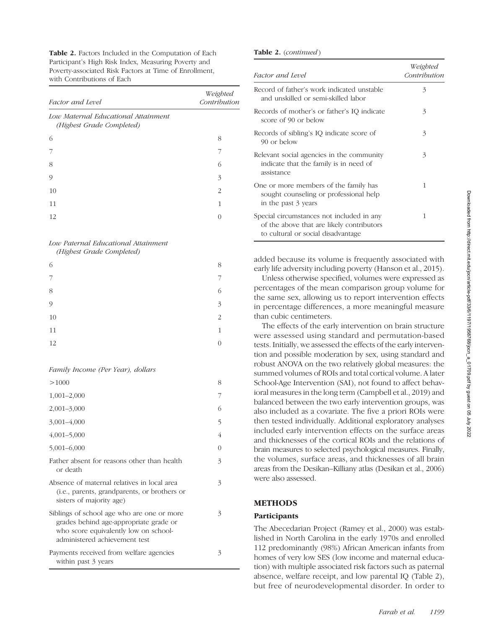Table 2. Factors Included in the Computation of Each Participant's High Risk Index, Measuring Poverty and Poverty-associated Risk Factors at Time of Enrollment, with Contributions of Each

| <b>Factor</b> and Level                                          | Weighted<br>Contribution |
|------------------------------------------------------------------|--------------------------|
| Low Maternal Educational Attainment<br>(Highest Grade Completed) |                          |
| 6                                                                | 8                        |
|                                                                  |                          |
| 8                                                                | 6                        |
| 9                                                                | 3                        |
| 10                                                               | 2                        |
| 11                                                               | 1                        |
| 12.                                                              |                          |

## Low Paternal Educational Attainment

(Highest Grade Completed)

| 6             | 8                        |
|---------------|--------------------------|
| 7             | 7                        |
| 8             | 6                        |
| $\mathcal{O}$ | $\overline{\mathcal{E}}$ |
| $10\,$        | $\overline{c}$           |
| 11            | $\mathbf{1}$             |
| 12            | $\overline{0}$           |

Family Income (Per Year), dollars

| >1000                                                                                                                                                          | 8 |
|----------------------------------------------------------------------------------------------------------------------------------------------------------------|---|
| $1,001-2,000$                                                                                                                                                  |   |
| $2,001 - 3,000$                                                                                                                                                | 6 |
| $3,001 - 4,000$                                                                                                                                                | 5 |
| $4,001 - 5,000$                                                                                                                                                | 4 |
| $5,001 - 6,000$                                                                                                                                                | 0 |
| Father absent for reasons other than health<br>or death                                                                                                        | 3 |
| Absence of maternal relatives in local area<br>(i.e., parents, grandparents, or brothers or<br>sisters of majority age)                                        | 3 |
| Siblings of school age who are one or more<br>grades behind age-appropriate grade or<br>who score equivalently low on school-<br>administered achievement test | 3 |
| Payments received from welfare agencies<br>within past 3 years                                                                                                 | 3 |

#### Table 2. (continued)

| Factor and Level                                                                                                             | Weighted<br>Contribution |
|------------------------------------------------------------------------------------------------------------------------------|--------------------------|
| Record of father's work indicated unstable<br>and unskilled or semi-skilled labor                                            | 3                        |
| Records of mother's or father's IQ indicate<br>score of 90 or below                                                          | 3                        |
| Records of sibling's IQ indicate score of<br>90 or below                                                                     | 3                        |
| Relevant social agencies in the community<br>indicate that the family is in need of<br>assistance                            | 3                        |
| One or more members of the family has<br>sought counseling or professional help<br>in the past 3 years                       | 1                        |
| Special circumstances not included in any<br>of the above that are likely contributors<br>to cultural or social disadvantage | 1                        |

added because its volume is frequently associated with early life adversity including poverty (Hanson et al., 2015).

Unless otherwise specified, volumes were expressed as percentages of the mean comparison group volume for the same sex, allowing us to report intervention effects in percentage differences, a more meaningful measure than cubic centimeters.

The effects of the early intervention on brain structure were assessed using standard and permutation-based tests. Initially, we assessed the effects of the early intervention and possible moderation by sex, using standard and robust ANOVA on the two relatively global measures: the summed volumes of ROIs and total cortical volume. A later School-Age Intervention (SAI), not found to affect behavioral measures in the long term (Campbell et al., 2019) and balanced between the two early intervention groups, was also included as a covariate. The five a priori ROIs were then tested individually. Additional exploratory analyses included early intervention effects on the surface areas and thicknesses of the cortical ROIs and the relations of brain measures to selected psychological measures. Finally, the volumes, surface areas, and thicknesses of all brain areas from the Desikan–Killiany atlas (Desikan et al., 2006) were also assessed.

## METHODS

### **Participants**

The Abecedarian Project (Ramey et al., 2000) was established in North Carolina in the early 1970s and enrolled 112 predominantly (98%) African American infants from homes of very low SES (low income and maternal education) with multiple associated risk factors such as paternal absence, welfare receipt, and low parental IQ (Table 2), but free of neurodevelopmental disorder. In order to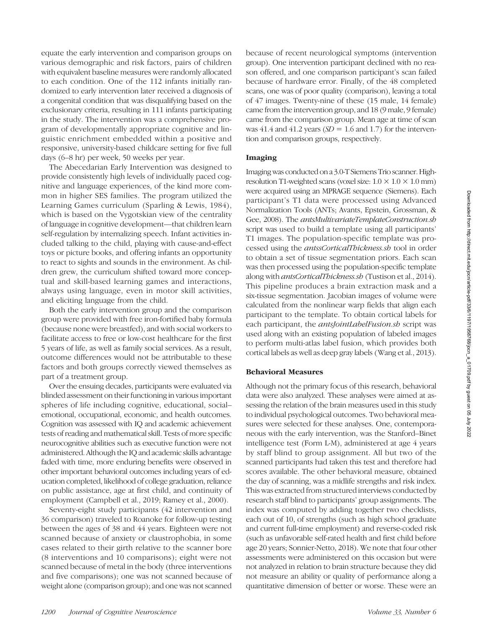equate the early intervention and comparison groups on various demographic and risk factors, pairs of children with equivalent baseline measures were randomly allocated to each condition. One of the 112 infants initially randomized to early intervention later received a diagnosis of a congenital condition that was disqualifying based on the exclusionary criteria, resulting in 111 infants participating in the study. The intervention was a comprehensive program of developmentally appropriate cognitive and linguistic enrichment embedded within a positive and responsive, university-based childcare setting for five full days (6–8 hr) per week, 50 weeks per year.

The Abecedarian Early Intervention was designed to provide consistently high levels of individually paced cognitive and language experiences, of the kind more common in higher SES families. The program utilized the Learning Games curriculum (Sparling & Lewis, 1984), which is based on the Vygotskian view of the centrality of language in cognitive development—that children learn self-regulation by internalizing speech. Infant activities included talking to the child, playing with cause-and-effect toys or picture books, and offering infants an opportunity to react to sights and sounds in the environment. As children grew, the curriculum shifted toward more conceptual and skill-based learning games and interactions, always using language, even in motor skill activities, and eliciting language from the child.

Both the early intervention group and the comparison group were provided with free iron-fortified baby formula (because none were breastfed), and with social workers to facilitate access to free or low-cost healthcare for the first 5 years of life, as well as family social services. As a result, outcome differences would not be attributable to these factors and both groups correctly viewed themselves as part of a treatment group.

Over the ensuing decades, participants were evaluated via blinded assessment on their functioning in various important spheres of life including cognitive, educational, social– emotional, occupational, economic, and health outcomes. Cognition was assessed with IQ and academic achievement tests of reading and mathematical skill. Tests of more specific neurocognitive abilities such as executive function were not administered. Although the IQ and academic skills advantage faded with time, more enduring benefits were observed in other important behavioral outcomes including years of education completed, likelihood of college graduation, reliance on public assistance, age at first child, and continuity of employment (Campbell et al., 2019; Ramey et al., 2000).

Seventy-eight study participants (42 intervention and 36 comparison) traveled to Roanoke for follow-up testing between the ages of 38 and 44 years. Eighteen were not scanned because of anxiety or claustrophobia, in some cases related to their girth relative to the scanner bore (8 interventions and 10 comparisons); eight were not scanned because of metal in the body (three interventions and five comparisons); one was not scanned because of weight alone (comparison group); and one was not scanned because of recent neurological symptoms (intervention group). One intervention participant declined with no reason offered, and one comparison participant's scan failed because of hardware error. Finally, of the 48 completed scans, one was of poor quality (comparison), leaving a total of 47 images. Twenty-nine of these (15 male, 14 female) came from the intervention group, and 18 (9 male, 9 female) came from the comparison group. Mean age at time of scan was 41.4 and 41.2 years  $(SD = 1.6$  and 1.7) for the intervention and comparison groups, respectively.

#### Imaging

Imaging was conducted on a 3.0-T Siemens Trio scanner. Highresolution T1-weighted scans (voxel size:  $1.0 \times 1.0 \times 1.0$  mm) were acquired using an MPRAGE sequence (Siemens). Each participant's T1 data were processed using Advanced Normalization Tools (ANTs; Avants, Epstein, Grossman, & Gee, 2008). The *antsMultivariateTemplateConstruction.sh* script was used to build a template using all participants' T1 images. The population-specific template was processed using the antssCorticalThickness.sh tool in order to obtain a set of tissue segmentation priors. Each scan was then processed using the population-specific template along with antsCorticalThickness.sh (Tustison et al., 2014). This pipeline produces a brain extraction mask and a six-tissue segmentation. Jacobian images of volume were calculated from the nonlinear warp fields that align each participant to the template. To obtain cortical labels for each participant, the *antsJointLabelFusion.sh* script was used along with an existing population of labeled images to perform multi-atlas label fusion, which provides both cortical labels as well as deep gray labels (Wang et al., 2013).

#### Behavioral Measures

Although not the primary focus of this research, behavioral data were also analyzed. These analyses were aimed at assessing the relation of the brain measures used in this study to individual psychological outcomes. Two behavioral measures were selected for these analyses. One, contemporaneous with the early intervention, was the Stanford–Binet intelligence test (Form L-M), administered at age 4 years by staff blind to group assignment. All but two of the scanned participants had taken this test and therefore had scores available. The other behavioral measure, obtained the day of scanning, was a midlife strengths and risk index. This was extracted from structured interviews conducted by research staff blind to participants' group assignments. The index was computed by adding together two checklists, each out of 10, of strengths (such as high school graduate and current full-time employment) and reverse-coded risk (such as unfavorable self-rated health and first child before age 20 years; Sonnier-Netto, 2018). We note that four other assessments were administered on this occasion but were not analyzed in relation to brain structure because they did not measure an ability or quality of performance along a quantitative dimension of better or worse. These were an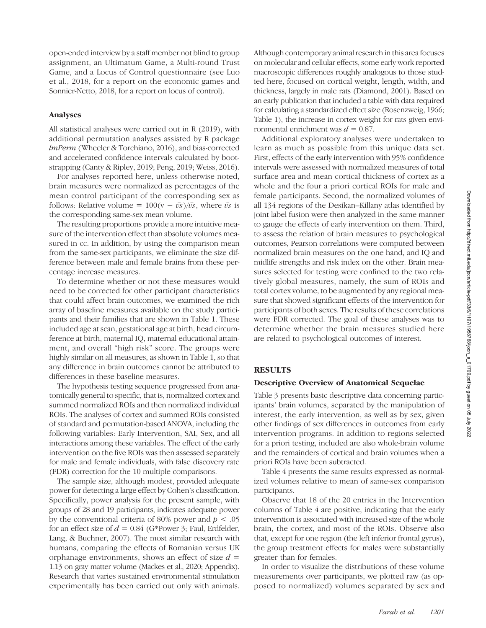open-ended interview by a staff member not blind to group assignment, an Ultimatum Game, a Multi-round Trust Game, and a Locus of Control questionnaire (see Luo et al., 2018, for a report on the economic games and Sonnier-Netto, 2018, for a report on locus of control).

#### Analyses

All statistical analyses were carried out in R (2019), with additional permutation analyses assisted by R package lmPerm (Wheeler & Torchiano, 2016), and bias-corrected and accelerated confidence intervals calculated by bootstrapping (Canty & Ripley, 2019; Peng, 2019; Weiss, 2016).

For analyses reported here, unless otherwise noted, brain measures were normalized as percentages of the mean control participant of the corresponding sex as follows: Relative volume =  $100(v - \bar{v}\bar{s})/\bar{v}\bar{s}$ , where  $\bar{v}\bar{s}$  is the corresponding same-sex mean volume.

The resulting proportions provide a more intuitive measure of the intervention effect than absolute volumes measured in cc. In addition, by using the comparison mean from the same-sex participants, we eliminate the size difference between male and female brains from these percentage increase measures.

To determine whether or not these measures would need to be corrected for other participant characteristics that could affect brain outcomes, we examined the rich array of baseline measures available on the study participants and their families that are shown in Table 1. These included age at scan, gestational age at birth, head circumference at birth, maternal IQ, maternal educational attainment, and overall "high risk" score. The groups were highly similar on all measures, as shown in Table 1, so that any difference in brain outcomes cannot be attributed to differences in these baseline measures.

The hypothesis testing sequence progressed from anatomically general to specific, that is, normalized cortex and summed normalized ROIs and then normalized individual ROIs. The analyses of cortex and summed ROIs consisted of standard and permutation-based ANOVA, including the following variables: Early Intervention, SAI, Sex, and all interactions among these variables. The effect of the early intervention on the five ROIs was then assessed separately for male and female individuals, with false discovery rate (FDR) correction for the 10 multiple comparisons.

The sample size, although modest, provided adequate power for detecting a large effect by Cohen's classification. Specifically, power analysis for the present sample, with groups of 28 and 19 participants, indicates adequate power by the conventional criteria of 80% power and  $p < .05$ for an effect size of  $d = 0.84$  (G\*Power 3; Faul, Erdfelder, Lang, & Buchner, 2007). The most similar research with humans, comparing the effects of Romanian versus UK orphanage environments, shows an effect of size  $d =$ 1.13 on gray matter volume (Mackes et al., 2020; Appendix). Research that varies sustained environmental stimulation experimentally has been carried out only with animals.

Although contemporary animal research in this area focuses on molecular and cellular effects, some early work reported macroscopic differences roughly analogous to those studied here, focused on cortical weight, length, width, and thickness, largely in male rats (Diamond, 2001). Based on an early publication that included a table with data required for calculating a standardized effect size (Rosenzweig, 1966; Table 1), the increase in cortex weight for rats given environmental enrichment was  $d = 0.87$ .

Additional exploratory analyses were undertaken to learn as much as possible from this unique data set. First, effects of the early intervention with 95% confidence intervals were assessed with normalized measures of total surface area and mean cortical thickness of cortex as a whole and the four a priori cortical ROIs for male and female participants. Second, the normalized volumes of all 134 regions of the Desikan–Killany atlas identified by joint label fusion were then analyzed in the same manner to gauge the effects of early intervention on them. Third, to assess the relation of brain measures to psychological outcomes, Pearson correlations were computed between normalized brain measures on the one hand, and IQ and midlife strengths and risk index on the other. Brain measures selected for testing were confined to the two relatively global measures, namely, the sum of ROIs and total cortex volume, to be augmented by any regional measure that showed significant effects of the intervention for participants of both sexes. The results of these correlations were FDR corrected. The goal of these analyses was to determine whether the brain measures studied here are related to psychological outcomes of interest.

#### RESULTS

#### Descriptive Overview of Anatomical Sequelae

Table 3 presents basic descriptive data concerning participants' brain volumes, separated by the manipulation of interest, the early intervention, as well as by sex, given other findings of sex differences in outcomes from early intervention programs. In addition to regions selected for a priori testing, included are also whole-brain volume and the remainders of cortical and brain volumes when a priori ROIs have been subtracted.

Table 4 presents the same results expressed as normalized volumes relative to mean of same-sex comparison participants.

Observe that 18 of the 20 entries in the Intervention columns of Table 4 are positive, indicating that the early intervention is associated with increased size of the whole brain, the cortex, and most of the ROIs. Observe also that, except for one region (the left inferior frontal gyrus), the group treatment effects for males were substantially greater than for females.

In order to visualize the distributions of these volume measurements over participants, we plotted raw (as opposed to normalized) volumes separated by sex and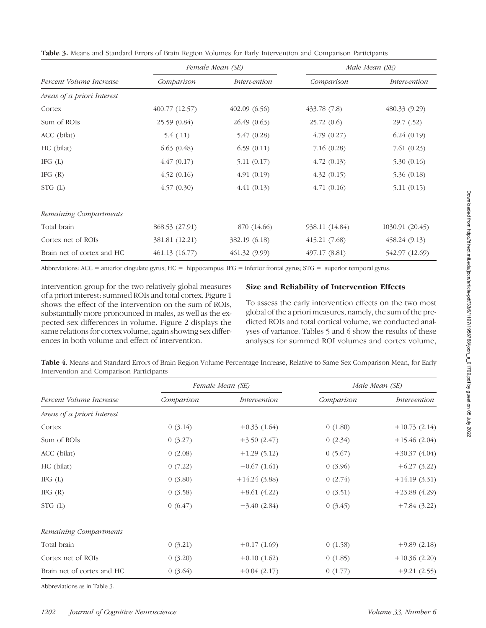|                            |                | Female Mean (SE) |                | Male Mean (SE)  |  |
|----------------------------|----------------|------------------|----------------|-----------------|--|
| Percent Volume Increase    | Comparison     | Intervention     | Comparison     | Intervention    |  |
| Areas of a priori Interest |                |                  |                |                 |  |
| Cortex                     | 400.77 (12.57) | 402.09(6.56)     | 433.78 (7.8)   | 480.33 (9.29)   |  |
| Sum of ROIs                | 25.59 (0.84)   | 26.49 (0.63)     | 25.72(0.6)     | 29.7(0.52)      |  |
| ACC (bilat)                | 5.4(0.11)      | 5.47(0.28)       | 4.79(0.27)     | 6.24(0.19)      |  |
| HC (bilat)                 | 6.63(0.48)     | 6.59(0.11)       | 7.16(0.28)     | 7.61(0.23)      |  |
| IFG $(L)$                  | 4.47(0.17)     | 5.11(0.17)       | 4.72(0.13)     | 5.30(0.16)      |  |
| IFG $(R)$                  | 4.52(0.16)     | 4.91(0.19)       | 4.32(0.15)     | 5.36(0.18)      |  |
| $STG$ (L)                  | 4.57(0.30)     | 4.41(0.13)       | 4.71(0.16)     | 5.11(0.15)      |  |
| Remaining Compartments     |                |                  |                |                 |  |
| Total brain                | 868.53 (27.91) | 870 (14.66)      | 938.11 (14.84) | 1030.91 (20.45) |  |
| Cortex net of ROIs         | 381.81 (12.21) | 382.19 (6.18)    | 415.21(7.68)   | 458.24(9.13)    |  |
| Brain net of cortex and HC | 461.13(16.77)  | 461.32 (9.99)    | 497.17 (8.81)  | 542.97 (12.69)  |  |

Table 3. Means and Standard Errors of Brain Region Volumes for Early Intervention and Comparison Participants

Abbreviations: ACC = anterior cingulate gyrus; HC = hippocampus; IFG = inferior frontal gyrus; STG = superior temporal gyrus.

intervention group for the two relatively global measures of a priori interest: summed ROIs and total cortex. Figure 1 shows the effect of the intervention on the sum of ROIs, substantially more pronounced in males, as well as the expected sex differences in volume. Figure 2 displays the same relations for cortex volume, again showing sex differences in both volume and effect of intervention.

## Size and Reliability of Intervention Effects

To assess the early intervention effects on the two most global of the a priori measures, namely, the sum of the predicted ROIs and total cortical volume, we conducted analyses of variance. Tables 5 and 6 show the results of these analyses for summed ROI volumes and cortex volume,

Table 4. Means and Standard Errors of Brain Region Volume Percentage Increase, Relative to Same Sex Comparison Mean, for Early Intervention and Comparison Participants

|                            |            | Female Mean (SE) | Male Mean (SE) |                |
|----------------------------|------------|------------------|----------------|----------------|
| Percent Volume Increase    | Comparison | Intervention     | Comparison     | Intervention   |
| Areas of a priori Interest |            |                  |                |                |
| Cortex                     | 0(3.14)    | $+0.33(1.64)$    | 0(1.80)        | $+10.73(2.14)$ |
| Sum of ROIs                | 0(3.27)    | $+3.50(2.47)$    | 0(2.34)        | $+15.46(2.04)$ |
| ACC (bilat)                | 0(2.08)    | $+1.29(5.12)$    | 0(5.67)        | $+30.37(4.04)$ |
| HC (bilat)                 | 0(7.22)    | $-0.67(1.61)$    | 0(3.96)        | $+6.27(3.22)$  |
| IFG $(L)$                  | 0(3.80)    | $+14.24(3.88)$   | 0(2.74)        | $+14.19(3.31)$ |
| IFG $(R)$                  | 0(3.58)    | $+8.61(4.22)$    | 0(3.51)        | $+23.88(4.29)$ |
| $STG$ (L)                  | 0(6.47)    | $-3.40(2.84)$    | 0(3.45)        | $+7.84(3.22)$  |
| Remaining Compartments     |            |                  |                |                |
| Total brain                | 0(3.21)    | $+0.17(1.69)$    | 0(1.58)        | $+9.89(2.18)$  |
| Cortex net of ROIs         | 0(3.20)    | $+0.10(1.62)$    | 0(1.85)        | $+10.36(2.20)$ |
| Brain net of cortex and HC | 0(3.64)    | $+0.04(2.17)$    | 0(1.77)        | $+9.21(2.55)$  |

Abbreviations as in Table 3.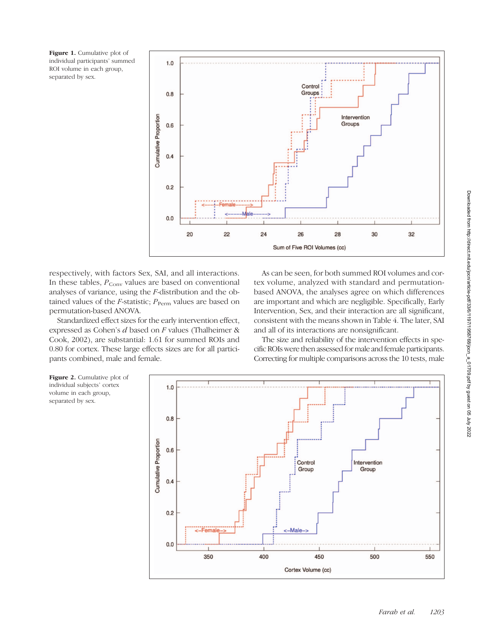Figure 1. Cumulative plot of individual participants' summed ROI volume in each group, separated by sex.



respectively, with factors Sex, SAI, and all interactions. In these tables,  $P_{Conv}$  values are based on conventional analyses of variance, using the F-distribution and the obtained values of the *F*-statistic;  $P_{\text{Perm}}$  values are based on permutation-based ANOVA.

Standardized effect sizes for the early intervention effect, expressed as Cohen's d based on F values (Thalheimer & Cook, 2002), are substantial: 1.61 for summed ROIs and 0.80 for cortex. These large effects sizes are for all participants combined, male and female.

As can be seen, for both summed ROI volumes and cortex volume, analyzed with standard and permutationbased ANOVA, the analyses agree on which differences are important and which are negligible. Specifically, Early Intervention, Sex, and their interaction are all significant, consistent with the means shown in Table 4. The later, SAI and all of its interactions are nonsignificant.

The size and reliability of the intervention effects in specific ROIs were then assessed for male and female participants. Correcting for multiple comparisons across the 10 tests, male



Downloaded from http://direct.mit.edu/jocn/article-pdf/33/6/1197/1958768/jocn\_a\_01709.pdf by guest on 05 July 2022

Downloaded from http://direct.mit.edu/jocn/article-pdf/33/6/1197/1958768/jocn\_a\_01709.pdf by guest on 05 July 2022

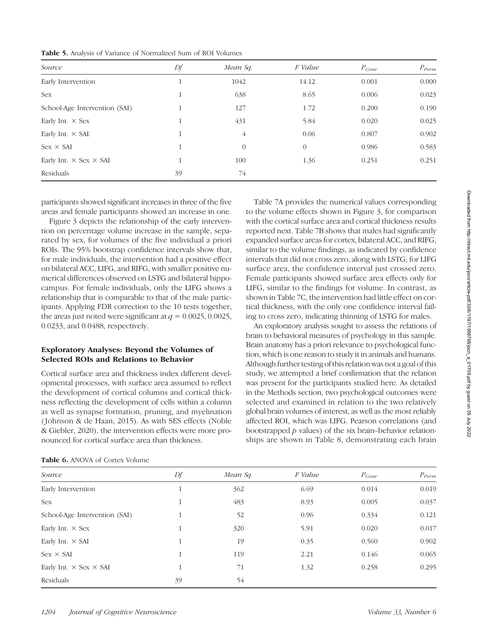| Source                               | Df      | Mean Sq.       | F Value        | $P_{Conv}$ | $P_{\text{Perm}}$ |
|--------------------------------------|---------|----------------|----------------|------------|-------------------|
| Early Intervention                   | T       | 1042           | 14.12          | 0.001      | 0.000             |
| Sex                                  | 1<br>т  | 638            | 8.65           | 0.006      | 0.023             |
| School-Age Intervention (SAI)        | -1      | 127            | 1.72           | 0.200      | 0.190             |
| Early Int. $\times$ Sex              | 11<br>T | 431            | 5.84           | 0.020      | 0.025             |
| Early Int. $\times$ SAI.             | 11<br>T | $\overline{4}$ | 0.06           | 0.807      | 0.902             |
| $Sex \times SAI$                     | $\perp$ | $\overline{0}$ | $\overline{0}$ | 0.986      | 0.583             |
| Early Int. $\times$ Sex $\times$ SAI | 11      | 100            | 1.36           | 0.251      | 0.251             |
| Residuals                            | 39      | 74             |                |            |                   |

participants showed significant increases in three of the five areas and female participants showed an increase in one.

Figure 3 depicts the relationship of the early intervention on percentage volume increase in the sample, separated by sex, for volumes of the five individual a priori ROIs. The 95% bootstrap confidence intervals show that, for male individuals, the intervention had a positive effect on bilateral ACC, LIFG, and RIFG, with smaller positive numerical differences observed on LSTG and bilateral hippocampus. For female individuals, only the LIFG shows a relationship that is comparable to that of the male participants. Applying FDR correction to the 10 tests together, the areas just noted were significant at  $q = 0.0025, 0.0025$ , 0.0233, and 0.0488, respectively.

## Exploratory Analyses: Beyond the Volumes of Selected ROIs and Relations to Behavior

Cortical surface area and thickness index different developmental processes, with surface area assumed to reflect the development of cortical columns and cortical thickness reflecting the development of cells within a column as well as synapse formation, pruning, and myelination ( Johnson & de Haan, 2015). As with SES effects (Noble & Giebler, 2020), the intervention effects were more pronounced for cortical surface area than thickness.

Table 7A provides the numerical values corresponding to the volume effects shown in Figure 3, for comparison with the cortical surface area and cortical thickness results reported next. Table 7B shows that males had significantly expanded surface areas for cortex, bilateral ACC, and RIFG, similar to the volume findings, as indicated by confidence intervals that did not cross zero, along with LSTG; for LIFG surface area, the confidence interval just crossed zero. Female participants showed surface area effects only for LIFG, similar to the findings for volume. In contrast, as shown in Table 7C, the intervention had little effect on cortical thickness, with the only one confidence interval failing to cross zero, indicating thinning of LSTG for males.

An exploratory analysis sought to assess the relations of brain to behavioral measures of psychology in this sample. Brain anatomy has a priori relevance to psychological function, which is one reason to study it in animals and humans. Although further testing of this relation was not a goal of this study, we attempted a brief confirmation that the relation was present for the participants studied here. As detailed in the Methods section, two psychological outcomes were selected and examined in relation to the two relatively global brain volumes of interest, as well as the most reliably affected ROI, which was LIFG. Pearson correlations (and bootstrapped  $p$  values) of the six brain–behavior relationships are shown in Table 8, demonstrating each brain

| Source                               | Df | Mean Sq. | F Value | $P_{Conv}$ | $P_{\text{Perm}}$ |
|--------------------------------------|----|----------|---------|------------|-------------------|
| Early Intervention                   | 1  | 362      | 6.69    | 0.014      | 0.019             |
| Sex                                  | 1  | 483      | 8.93    | 0.005      | 0.037             |
| School-Age Intervention (SAI)        | 1  | 52       | 0.96    | 0.334      | 0.121             |
| Early Int. $\times$ Sex              | 1  | 320      | 5.91    | 0.020      | 0.017             |
| Early Int. $\times$ SAI              | 1  | 19       | 0.35    | 0.560      | 0.902             |
| $Sex \times SAI$                     | 1  | 119      | 2.21    | 0.146      | 0.065             |
| Early Int. $\times$ Sex $\times$ SAI |    | 71       | 1.32    | 0.258      | 0.295             |
| Residuals                            | 39 | 54       |         |            |                   |

|  |  | <b>Table 6.</b> ANOVA of Cortex Volume |  |
|--|--|----------------------------------------|--|
|--|--|----------------------------------------|--|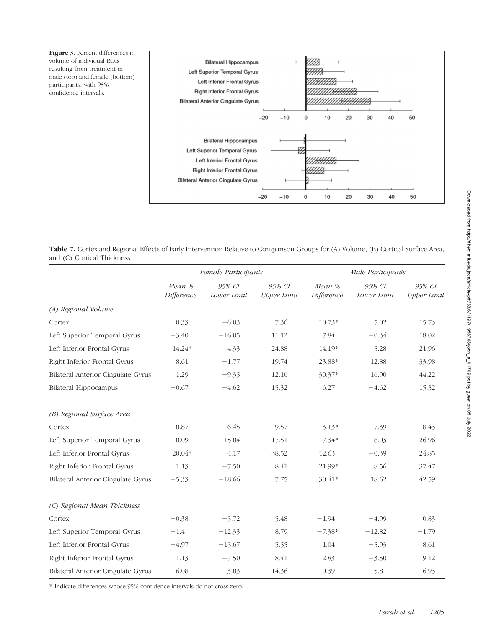Figure 3. Percent differences in volume of individual ROIs resulting from treatment in male (top) and female (bottom) participants, with 95% confidence intervals.



Table 7. Cortex and Regional Effects of Early Intervention Relative to Comparison Groups for (A) Volume, (B) Cortical Surface Area, and (C) Cortical Thickness

|                                           | Female Participants  |                       |                              |                      | Male Participants     |                              |
|-------------------------------------------|----------------------|-----------------------|------------------------------|----------------------|-----------------------|------------------------------|
|                                           | Mean %<br>Difference | 95% CI<br>Lower Limit | 95% CI<br><b>Upper Limit</b> | Mean %<br>Difference | 95% CI<br>Lower Limit | 95% CI<br><b>Upper Limit</b> |
| (A) Regional Volume                       |                      |                       |                              |                      |                       |                              |
| Cortex                                    | 0.33                 | $-6.03$               | 7.36                         | $10.73*$             | 5.02                  | 15.73                        |
| Left Superior Temporal Gyrus              | $-3.40$              | $-16.05$              | 11.12                        | 7.84                 | $-0.34$               | 18.02                        |
| Left Inferior Frontal Gyrus               | 14.24*               | 4.33                  | 24.88                        | 14.19*               | 5.28                  | 21.96                        |
| Right Inferior Frontal Gyrus              | 8.61                 | $-1.77$               | 19.74                        | 23.88*               | 12.88                 | 33.98                        |
| <b>Bilateral Anterior Cingulate Gyrus</b> | 1.29                 | $-9.35$               | 12.16                        | 30.37*               | 16.90                 | 44.22                        |
| <b>Bilateral Hippocampus</b>              | $-0.67$              | $-4.62$               | 15.32                        | 6.27                 | $-4.62$               | 15.32                        |
| (B) Regional Surface Area                 |                      |                       |                              |                      |                       |                              |
| Cortex                                    | 0.87                 | $-6.45$               | 9.57                         | $13.13*$             | 7.39                  | 18.43                        |
| Left Superior Temporal Gyrus              | $-0.09$              | $-15.04$              | 17.51                        | 17.34*               | 8.03                  | 26.96                        |
| Left Inferior Frontal Gyrus               | $20.04*$             | 4.17                  | 38.52                        | 12.63                | $-0.39$               | 24.85                        |
| Right Inferior Frontal Gyrus              | 1.13                 | $-7.50$               | 8.41                         | 21.99*               | 8.56                  | 37.47                        |
| <b>Bilateral Anterior Cingulate Gyrus</b> | $-5.33$              | $-18.66$              | 7.75                         | 30.41*               | 18.62                 | 42.59                        |
| (C) Regional Mean Thickness               |                      |                       |                              |                      |                       |                              |
| Cortex                                    | $-0.38$              | $-5.72$               | 5.48                         | $-1.94$              | $-4.99$               | 0.83                         |
| Left Superior Temporal Gyrus              | $-1.4$               | $-12.33$              | 8.79                         | $-7.38*$             | $-12.82$              | $-1.79$                      |
| Left Inferior Frontal Gyrus               | $-4.97$              | $-15.67$              | 5.55                         | 1.04                 | $-5.93$               | 8.61                         |
| Right Inferior Frontal Gyrus              | 1.13                 | $-7.50$               | 8.41                         | 2.83                 | $-3.50$               | 9.12                         |
| <b>Bilateral Anterior Cingulate Gyrus</b> | 6.08                 | $-3.03$               | 14.36                        | 0.39                 | $-5.81$               | 6.93                         |

\* Indicate differences whose 95% confidence intervals do not cross zero.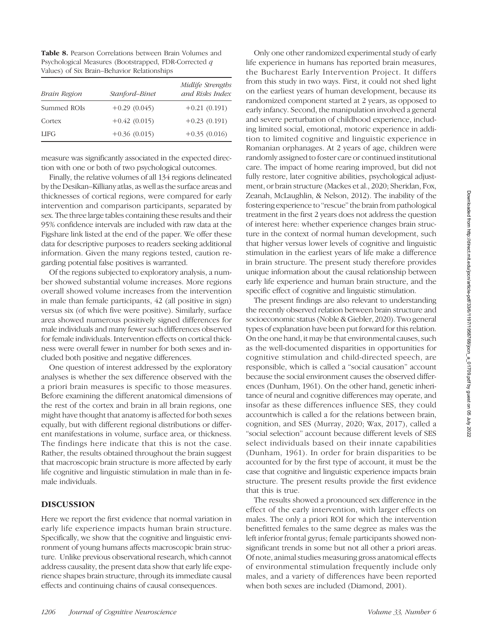Table 8. Pearson Correlations between Brain Volumes and Psychological Measures (Bootstrapped, FDR-Corrected q Values) of Six Brain–Behavior Relationships

| Brain Region | Stanford-Binet | Midlife Strengths<br>and Risks Index |
|--------------|----------------|--------------------------------------|
| Summed ROIs  | $+0.29(0.045)$ | $+0.21(0.191)$                       |
| Cortex       | $+0.42(0.015)$ | $+0.23(0.191)$                       |
| <b>LIFG</b>  | $+0.36(0.015)$ | $+0.35(0.016)$                       |

measure was significantly associated in the expected direction with one or both of two psychological outcomes.

Finally, the relative volumes of all 134 regions delineated by the Desikan–Killiany atlas, as well as the surface areas and thicknesses of cortical regions, were compared for early intervention and comparison participants, separated by sex. The three large tables containing these results and their 95% confidence intervals are included with raw data at the Figshare link listed at the end of the paper. We offer these data for descriptive purposes to readers seeking additional information. Given the many regions tested, caution regarding potential false positives is warranted.

Of the regions subjected to exploratory analysis, a number showed substantial volume increases. More regions overall showed volume increases from the intervention in male than female participants, 42 (all positive in sign) versus six (of which five were positive). Similarly, surface area showed numerous positively signed differences for male individuals and many fewer such differences observed for female individuals. Intervention effects on cortical thickness were overall fewer in number for both sexes and included both positive and negative differences.

One question of interest addressed by the exploratory analyses is whether the sex difference observed with the a priori brain measures is specific to those measures. Before examining the different anatomical dimensions of the rest of the cortex and brain in all brain regions, one might have thought that anatomy is affected for both sexes equally, but with different regional distributions or different manifestations in volume, surface area, or thickness. The findings here indicate that this is not the case. Rather, the results obtained throughout the brain suggest that macroscopic brain structure is more affected by early life cognitive and linguistic stimulation in male than in female individuals.

#### DISCUSSION

Here we report the first evidence that normal variation in early life experience impacts human brain structure. Specifically, we show that the cognitive and linguistic environment of young humans affects macroscopic brain structure. Unlike previous observational research, which cannot address causality, the present data show that early life experience shapes brain structure, through its immediate causal effects and continuing chains of causal consequences.

Only one other randomized experimental study of early life experience in humans has reported brain measures, the Bucharest Early Intervention Project. It differs from this study in two ways. First, it could not shed light on the earliest years of human development, because its randomized component started at 2 years, as opposed to early infancy. Second, the manipulation involved a general and severe perturbation of childhood experience, including limited social, emotional, motoric experience in addition to limited cognitive and linguistic experience in Romanian orphanages. At 2 years of age, children were randomly assigned to foster care or continued institutional care. The impact of home rearing improved, but did not fully restore, later cognitive abilities, psychological adjustment, or brain structure (Mackes et al., 2020; Sheridan, Fox, Zeanah, McLaughlin, & Nelson, 2012). The inability of the fostering experience to "rescue" the brain from pathological treatment in the first 2 years does not address the question of interest here: whether experience changes brain structure in the context of normal human development, such that higher versus lower levels of cognitive and linguistic stimulation in the earliest years of life make a difference in brain structure. The present study therefore provides unique information about the causal relationship between early life experience and human brain structure, and the specific effect of cognitive and linguistic stimulation.

The present findings are also relevant to understanding the recently observed relation between brain structure and socioeconomic status (Noble & Giebler, 2020). Two general types of explanation have been put forward for this relation. On the one hand, it may be that environmental causes, such as the well-documented disparities in opportunities for cognitive stimulation and child-directed speech, are responsible, which is called a "social causation" account because the social environment causes the observed differences (Dunham, 1961). On the other hand, genetic inheritance of neural and cognitive differences may operate, and insofar as these differences influence SES, they could accountwhich is called a for the relations between brain, cognition, and SES (Murray, 2020; Wax, 2017), called a "social selection" account because different levels of SES select individuals based on their innate capabilities (Dunham, 1961). In order for brain disparities to be accounted for by the first type of account, it must be the case that cognitive and linguistic experience impacts brain structure. The present results provide the first evidence that this is true.

The results showed a pronounced sex difference in the effect of the early intervention, with larger effects on males. The only a priori ROI for which the intervention benefitted females to the same degree as males was the left inferior frontal gyrus; female participants showed nonsignificant trends in some but not all other a priori areas. Of note, animal studies measuring gross anatomical effects of environmental stimulation frequently include only males, and a variety of differences have been reported when both sexes are included (Diamond, 2001).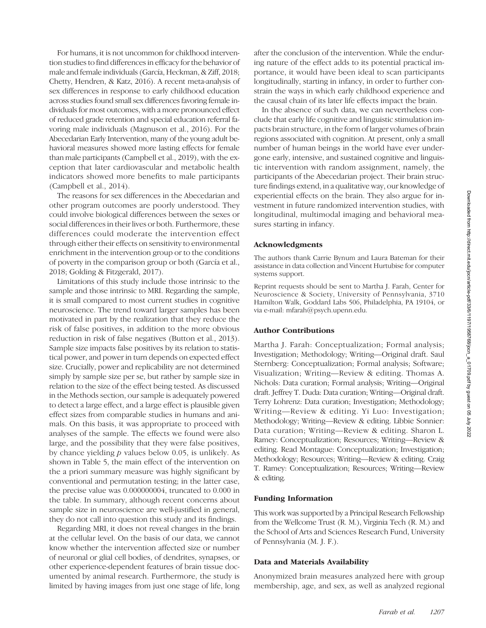For humans, it is not uncommon for childhood intervention studies to find differences in efficacy for the behavior of male and female individuals (García, Heckman, & Ziff, 2018; Chetty, Hendren, & Katz, 2016). A recent meta-analysis of sex differences in response to early childhood education across studies found small sex differences favoring female individuals for most outcomes, with a more pronounced effect of reduced grade retention and special education referral favoring male individuals (Magnuson et al., 2016). For the Abecedarian Early Intervention, many of the young adult behavioral measures showed more lasting effects for female than male participants (Campbell et al., 2019), with the exception that later cardiovascular and metabolic health indicators showed more benefits to male participants (Campbell et al., 2014).

The reasons for sex differences in the Abecedarian and other program outcomes are poorly understood. They could involve biological differences between the sexes or social differences in their lives or both. Furthermore, these differences could moderate the intervention effect through either their effects on sensitivity to environmental enrichment in the intervention group or to the conditions of poverty in the comparison group or both (García et al., 2018; Golding & Fitzgerald, 2017).

Limitations of this study include those intrinsic to the sample and those intrinsic to MRI. Regarding the sample, it is small compared to most current studies in cognitive neuroscience. The trend toward larger samples has been motivated in part by the realization that they reduce the risk of false positives, in addition to the more obvious reduction in risk of false negatives (Button et al., 2013). Sample size impacts false positives by its relation to statistical power, and power in turn depends on expected effect size. Crucially, power and replicability are not determined simply by sample size per se, but rather by sample size in relation to the size of the effect being tested. As discussed in the Methods section, our sample is adequately powered to detect a large effect, and a large effect is plausible given effect sizes from comparable studies in humans and animals. On this basis, it was appropriate to proceed with analyses of the sample. The effects we found were also large, and the possibility that they were false positives, by chance yielding  $p$  values below 0.05, is unlikely. As shown in Table 5, the main effect of the intervention on the a priori summary measure was highly significant by conventional and permutation testing; in the latter case, the precise value was 0.000000004, truncated to 0.000 in the table. In summary, although recent concerns about sample size in neuroscience are well-justified in general, they do not call into question this study and its findings.

Regarding MRI, it does not reveal changes in the brain at the cellular level. On the basis of our data, we cannot know whether the intervention affected size or number of neuronal or glial cell bodies, of dendrites, synapses, or other experience-dependent features of brain tissue documented by animal research. Furthermore, the study is limited by having images from just one stage of life, long

after the conclusion of the intervention. While the enduring nature of the effect adds to its potential practical importance, it would have been ideal to scan participants longitudinally, starting in infancy, in order to further constrain the ways in which early childhood experience and the causal chain of its later life effects impact the brain.

In the absence of such data, we can nevertheless conclude that early life cognitive and linguistic stimulation impacts brain structure, in the form of larger volumes of brain regions associated with cognition. At present, only a small number of human beings in the world have ever undergone early, intensive, and sustained cognitive and linguistic intervention with random assignment, namely, the participants of the Abecedarian project. Their brain structure findings extend, in a qualitative way, our knowledge of experiential effects on the brain. They also argue for investment in future randomized intervention studies, with longitudinal, multimodal imaging and behavioral measures starting in infancy.

#### Acknowledgments

The authors thank Carrie Bynum and Laura Bateman for their assistance in data collection and Vincent Hurtubise for computer systems support.

Reprint requests should be sent to Martha J. Farah, Center for Neuroscience & Society, University of Pennsylvania, 3710 Hamilton Walk, Goddard Labs 506, Philadelphia, PA 19104, or via e-mail: mfarah@psych.upenn.edu.

#### Author Contributions

Martha J. Farah: Conceptualization; Formal analysis; Investigation; Methodology; Writing—Original draft. Saul Sternberg: Conceptualization; Formal analysis; Software; Visualization; Writing—Review & editing. Thomas A. Nichols: Data curation; Formal analysis; Writing—Original draft. Jeffrey T. Duda: Data curation; Writing—Original draft. Terry Lohrenz: Data curation; Investigation; Methodology; Writing—Review & editing. Yi Luo: Investigation; Methodology; Writing—Review & editing. Libbie Sonnier: Data curation; Writing—Review & editing. Sharon L. Ramey: Conceptualization; Resources; Writing—Review & editing. Read Montague: Conceptualization; Investigation; Methodology; Resources; Writing—Review & editing. Craig T. Ramey: Conceptualization; Resources; Writing—Review & editing.

#### Funding Information

This work was supported by a Principal Research Fellowship from the Wellcome Trust (R. M.), Virginia Tech (R. M.) and the School of Arts and Sciences Research Fund, University of Pennsylvania (M. J. F.).

#### Data and Materials Availability

Anonymized brain measures analyzed here with group membership, age, and sex, as well as analyzed regional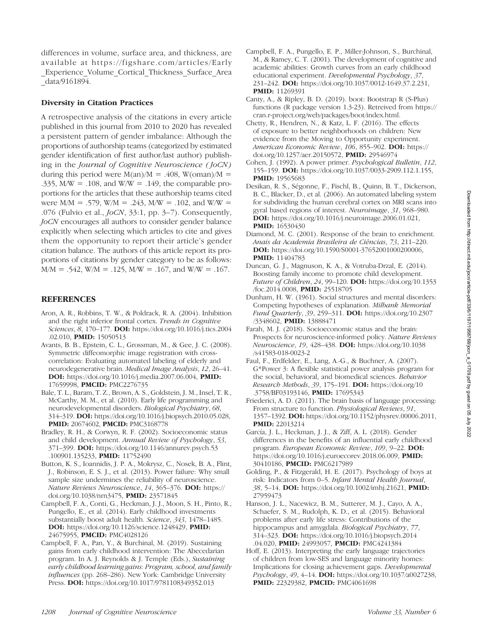differences in volume, surface area, and thickness, are available at [https://figshare.com/articles/Early](https://figshare.com/articles/Early_Experience_Volume_Cortical_Thickness_Surface_Area_data/9161894) [\\_Experience\\_Volume\\_Cortical\\_Thickness\\_Surface\\_Area](https://figshare.com/articles/Early_Experience_Volume_Cortical_Thickness_Surface_Area_data/9161894) [\\_data/9161894](https://figshare.com/articles/Early_Experience_Volume_Cortical_Thickness_Surface_Area_data/9161894).

## Diversity in Citation Practices

A retrospective analysis of the citations in every article published in this journal from 2010 to 2020 has revealed a persistent pattern of gender imbalance: Although the proportions of authorship teams (categorized by estimated gender identification of first author/last author) publishing in the Journal of Cognitive Neuroscience (JoCN) during this period were  $M(an)/M = .408$ , W(oman)/M = .335,  $M/W = .108$ , and  $W/W = .149$ , the comparable proportions for the articles that these authorship teams cited were  $M/M = .579$ ,  $W/M = .243$ ,  $M/W = .102$ , and  $W/W =$ .076 (Fulvio et al., JoCN, 33:1, pp. 3–7). Consequently, JoCN encourages all authors to consider gender balance explicitly when selecting which articles to cite and gives them the opportunity to report their article's gender citation balance. The authors of this article report its proportions of citations by gender category to be as follows:  $M/M = .542$ , W/M = .125, M/W = .167, and W/W = .167.

#### **REFERENCES**

- Aron, A. R., Robbins, T. W., & Poldrack, R. A. (2004). Inhibition and the right inferior frontal cortex. Trends in Cognitive Sciences, 8, 170-177. **DOI:** [https://doi.org/10.1016/j.tics.2004](https://doi.org/10.1016/j.tics.2004.02.010) [.02.010,](https://doi.org/10.1016/j.tics.2004.02.010) PMID: [15050513](https://europepmc.org/article/MED/15050513)
- Avants, B. B., Epstein, C. L., Grossman, M., & Gee, J. C. (2008). Symmetric diffeomorphic image registration with crosscorrelation: Evaluating automated labeling of elderly and neurodegenerative brain. Medical Image Analysis, 12, 26–41. DOI: <https://doi.org/10.1016/j.media.2007.06.004>, PMID: [17659998](https://europepmc.org/article/MED/17659998), PMCID: [PMC2276735](https://www.ncbi.nlm.nih.gov/pmc/articles/PMC2276735)
- Bale, T. L., Baram, T. Z., Brown, A. S., Goldstein, J. M., Insel, T. R., McCarthy, M. M., et al. (2010). Early life programming and neurodevelopmental disorders. Biological Psychiatry, 68, 314–319. DOI: <https://doi.org/10.1016/j.biopsych.2010.05.028>, **PMID:** [20674602,](https://europepmc.org/article/MED/20674602) **PMCID:** [PMC3168778](https://www.ncbi.nlm.nih.gov/pmc/articles/PMC3168778)
- Bradley, R. H., & Corwyn, R. F. (2002). Socioeconomic status and child development. Annual Review of Psychology, 53, 371–399. DOI: [https://doi.org/10.1146/annurev.psych.53](https://doi.org/10.1146/annurev.psych.53.100901.135233) [.100901.135233,](https://doi.org/10.1146/annurev.psych.53.100901.135233) PMID: [11752490](https://europepmc.org/article/MED/11752490)
- Button, K. S., Ioannidis, J. P. A., Mokrysz, C., Nosek, B. A., Flint, J., Robinson, E. S. J., et al. (2013). Power failure: Why small sample size undermines the reliability of neuroscience. Nature Reviews Neuroscience, 14, 365–376. DOI: [https://](https://doi.org/10.1038/nrn3475) [doi.org/10.1038/nrn3475](https://doi.org/10.1038/nrn3475), PMID: [23571845](https://europepmc.org/article/MED/23571845)
- Campbell, F. A., Conti, G., Heckman, J. J., Moon, S. H., Pinto, R., Pungello, E., et al. (2014). Early childhood investments substantially boost adult health. Science, 343, 1478–1485. DOI: [https://doi.org/10.1126/science.1248429,](https://doi.org/10.1126/science.1248429) PMID: [24675955,](https://europepmc.org/article/MED/24675955) PMCID: [PMC4028126](https://www.ncbi.nlm.nih.gov/pmc/articles/PMC4028126)
- Campbell, F. A., Pan, Y., & Burchinal, M. (2019). Sustaining gains from early childhood intervention: The Abecedarian program. In A. J. Reynolds & J. Temple (Eds.), Sustaining early childhood learning gains: Program, school, and family influences (pp. 268–286). New York: Cambridge University Press. DOI: <https://doi.org/10.1017/9781108349352.013>
- Campbell, F. A., Pungello, E. P., Miller-Johnson, S., Burchinal, M., & Ramey, C. T. (2001). The development of cognitive and academic abilities: Growth curves from an early childhood educational experiment. Developmental Psychology, 37, 231–242. DOI: <https://doi.org/10.1037/0012-1649.37.2.231>, PMID: [11269391](https://europepmc.org/article/MED/11269391)
- Canty, A., & Ripley, B. D. (2019). boot: Bootstrap R (S-Plus) functions (R package version 1.3-23). Retreived from [https://](https://cran.r-project.org/web/packages/boot/index.html) [cran.r-project.org/web/packages/boot/index.html.](https://cran.r-project.org/web/packages/boot/index.html)
- Chetty, R., Hendren, N., & Katz, L. F. (2016). The effects of exposure to better neighborhoods on children: New evidence from the Moving to Opportunity experiment. American Economic Review, 106, 855-902. DOI: [https://](https://doi.org/10.1257/aer.20150572) [doi.org/10.1257/aer.20150572](https://doi.org/10.1257/aer.20150572), PMID: [29546974](https://europepmc.org/article/MED/29546974)
- Cohen, J. (1992). A power primer. Psychological Bulletin, 112, 155–159. DOI: [https://doi.org/10.1037/0033-2909.112.1.155,](https://doi.org/10.1037/0033-2909.112.1.155) **PMID:** [19565683](https://europepmc.org/article/MED/19565683)
- Desikan, R. S., Ségonne, F., Fischl, B., Quinn, B. T., Dickerson, B. C., Blacker, D., et al. (2006). An automated labeling system for subdividing the human cerebral cortex on MRI scans into gyral based regions of interest. Neuroimage, 31, 968–980. DOI: <https://doi.org/10.1016/j.neuroimage.2006.01.021>, **PMID:** [16530430](https://europepmc.org/article/MED/16530430)
- Diamond, M. C. (2001). Response of the brain to enrichment. Anais da Academia Brasileira de Ciências, 73, 211–220. DOI: [https://doi.org/10.1590/S0001-37652001000200006,](https://doi.org/10.1590/S0001-37652001000200006) PMID: [11404783](https://europepmc.org/article/MED/11404783)
- Duncan, G. J., Magnuson, K. A., & Votruba-Drzal, E. (2014). Boosting family income to promote child development. Future of Children, 24, 99–120. DOI: [https://doi.org/10.1353](https://doi.org/10.1353/foc.2014.0008) [/foc.2014.0008](https://doi.org/10.1353/foc.2014.0008), PMID: [25518705](https://europepmc.org/article/MED/25518705)
- Dunham, H. W. (1961). Social structures and mental disorders: Competing hypotheses of explanation. Milbank Memorial Fund Quarterly, 39, 259–311. DOI: [https://doi.org/10.2307](https://doi.org/10.2307/3348602) [/3348602,](https://doi.org/10.2307/3348602) **PMID**: [13888471](https://europepmc.org/article/MED/13888471)
- Farah, M. J. (2018). Socioeconomic status and the brain: Prospects for neuroscience-informed policy. Nature Reviews Neuroscience, 19, 428–438. DOI: [https://doi.org/10.1038](https://doi.org/10.1038/s41583-018-0023-2) [/s41583-018-0023-2](https://doi.org/10.1038/s41583-018-0023-2)
- Faul, F., Erdfelder, E., Lang, A.-G., & Buchner, A. (2007). G\*Power 3: A flexible statistical power analysis program for the social, behavioral, and biomedical sciences. Behavior Research Methods, 39, 175–191. DOI: [https://doi.org/10](https://doi.org/10.3758/BF03193146) [.3758/BF03193146,](https://doi.org/10.3758/BF03193146) PMID: [17695343](https://europepmc.org/article/MED/17695343)
- Friederici, A. D. (2011). The brain basis of language processing: From structure to function. Physiological Reviews, 91, 1357–1392. DOI: [https://doi.org/10.1152/physrev.00006.2011,](https://doi.org/10.1152/physrev.00006.2011) PMID: [22013214](https://europepmc.org/article/MED/22013214)
- García, J. L., Heckman, J. J., & Ziff, A. L. (2018). Gender differences in the benefits of an influential early childhood program. European Economic Review, 109, 9–22. DOI: <https://doi.org/10.1016/j.euroecorev.2018.06.009>, PMID: [30410186](https://europepmc.org/article/MED/30410186), PMCID: [PMC6217989](https://www.ncbi.nlm.nih.gov/pmc/articles/PMC6217989)
- Golding, P., & Fitzgerald, H. E. (2017). Psychology of boys at risk: Indicators from 0–5. Infant Mental Health Journal, 38, 5–14. DOI: <https://doi.org/10.1002/imhj.21621>, PMID: [27959473](https://europepmc.org/article/MED/27959473)
- Hanson, J. L., Nacewicz, B. M., Sutterer, M. J., Cayo, A. A., Schaefer, S. M., Rudolph, K. D., et al. (2015). Behavioral problems after early life stress: Contributions of the hippocampus and amygdala. Biological Psychiatry, 77, 314–323. DOI: [https://doi.org/10.1016/j.biopsych.2014](https://doi.org/10.1016/j.biopsych.2014.04.020) [.04.020,](https://doi.org/10.1016/j.biopsych.2014.04.020) PMID: [24993057,](https://europepmc.org/article/MED/24993057) PMCID: [PMC4241384](https://www.ncbi.nlm.nih.gov/pmc/articles/PMC4241384)
- Hoff, E. (2013). Interpreting the early language trajectories of children from low-SES and language minority homes: Implications for closing achievement gaps. Developmental Psychology, 49, 4–14. DOI: [https://doi.org/10.1037/a0027238,](https://doi.org/10.1037/a0027238) PMID: [22329382](https://europepmc.org/article/MED/22329382), PMCID: [PMC4061698](https://www.ncbi.nlm.nih.gov/pmc/articles/PMC4061698)